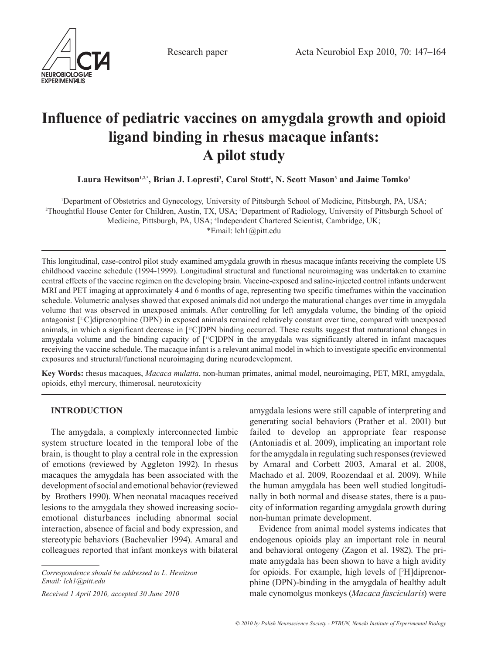



# **Influence of pediatric vaccines on amygdala growth and opioid ligand binding in rhesus macaque infants: A pilot study**

Laura Hewitson<sup>1,2,\*</sup>, Brian J. Lopresti<sup>3</sup>, Carol Stott<sup>4</sup>, N. Scott Mason<sup>3</sup> and Jaime Tomko<sup>1</sup>

1 Department of Obstetrics and Gynecology, University of Pittsburgh School of Medicine, Pittsburgh, PA, USA; 2 Thoughtful House Center for Children, Austin, TX, USA; 3 Department of Radiology, University of Pittsburgh School of Medicine, Pittsburgh, PA, USA; 4 Independent Chartered Scientist, Cambridge, UK; \*Email: lch1@pitt.edu

This longitudinal, case-control pilot study examined amygdala growth in rhesus macaque infants receiving the complete US childhood vaccine schedule (1994-1999). Longitudinal structural and functional neuroimaging was undertaken to examine central effects of the vaccine regimen on the developing brain. Vaccine-exposed and saline-injected control infants underwent MRI and PET imaging at approximately 4 and 6 months of age, representing two specific timeframes within the vaccination schedule. Volumetric analyses showed that exposed animals did not undergo the maturational changes over time in amygdala volume that was observed in unexposed animals. After controlling for left amygdala volume, the binding of the opioid antagonist [11C]diprenorphine (DPN) in exposed animals remained relatively constant over time, compared with unexposed animals, in which a significant decrease in  $[{}^{\text{1}}\text{C}$  DPN binding occurred. These results suggest that maturational changes in amygdala volume and the binding capacity of [11C]DPN in the amygdala was significantly altered in infant macaques receiving the vaccine schedule. The macaque infant is a relevant animal model in which to investigate specific environmental exposures and structural/functional neuroimaging during neurodevelopment.

**Key Words:** rhesus macaques, *Macaca mulatta*, non-human primates, animal model, neuroimaging, PET, MRI, amygdala, opioids, ethyl mercury, thimerosal, neurotoxicity

# **INTRODUCTION**

The amygdala, a complexly interconnected limbic system structure located in the temporal lobe of the brain, is thought to play a central role in the expression of emotions (reviewed by Aggleton 1992). In rhesus macaques the amygdala has been associated with the development of social and emotional behavior (reviewed by Brothers 1990). When neonatal macaques received lesions to the amygdala they showed increasing socioemotional disturbances including abnormal social interaction, absence of facial and body expression, and stereotypic behaviors (Bachevalier 1994). Amaral and colleagues reported that infant monkeys with bilateral

*Correspondence should be addressed to L. Hewitson Email: lch1@pitt.edu*

*Received 1 April 2010, accepted 30 June 2010*

amygdala lesions were still capable of interpreting and generating social behaviors (Prather et al. 2001) but failed to develop an appropriate fear response (Antoniadis et al. 2009), implicating an important role for the amygdala in regulating such responses (reviewed by Amaral and Corbett 2003, Amaral et al. 2008, Machado et al. 2009, Roozendaal et al. 2009). While the human amygdala has been well studied longitudinally in both normal and disease states, there is a paucity of information regarding amygdala growth during non-human primate development.

Evidence from animal model systems indicates that endogenous opioids play an important role in neural and behavioral ontogeny (Zagon et al. 1982). The primate amygdala has been shown to have a high avidity for opioids. For example, high levels of [3 H]diprenorphine (DPN)-binding in the amygdala of healthy adult male cynomolgus monkeys (*Macaca fascicularis*) were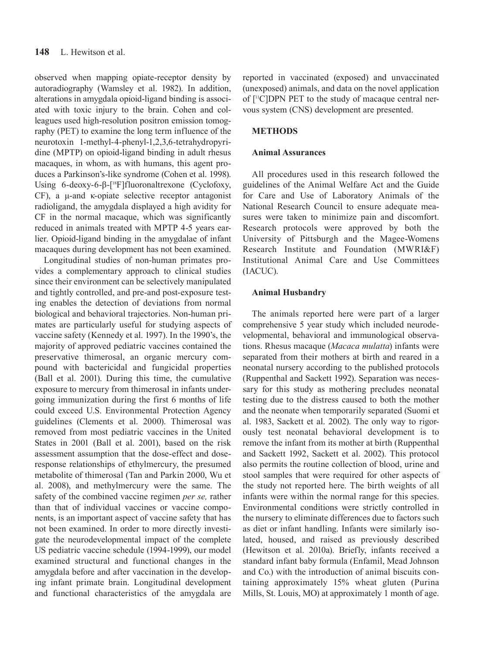observed when mapping opiate-receptor density by autoradiography (Wamsley et al. 1982). In addition, alterations in amygdala opioid-ligand binding is associated with toxic injury to the brain. Cohen and colleagues used high-resolution positron emission tomography (PET) to examine the long term influence of the neurotoxin 1-methyl-4-phenyl-1,2,3,6-tetrahydropyridine (MPTP) on opioid-ligand binding in adult rhesus macaques, in whom, as with humans, this agent produces a Parkinson's-like syndrome (Cohen et al. 1998). Using 6-deoxy-6-β-[18F]fluoronaltrexone (Cyclofoxy, CF), a μ-and κ-opiate selective receptor antagonist radioligand, the amygdala displayed a high avidity for CF in the normal macaque, which was significantly reduced in animals treated with MPTP 4-5 years earlier. Opioid-ligand binding in the amygdalae of infant macaques during development has not been examined.

Longitudinal studies of non-human primates provides a complementary approach to clinical studies since their environment can be selectively manipulated and tightly controlled, and pre-and post-exposure testing enables the detection of deviations from normal biological and behavioral trajectories. Non-human primates are particularly useful for studying aspects of vaccine safety (Kennedy et al. 1997). In the 1990's, the majority of approved pediatric vaccines contained the preservative thimerosal, an organic mercury compound with bactericidal and fungicidal properties (Ball et al. 2001). During this time, the cumulative exposure to mercury from thimerosal in infants undergoing immunization during the first 6 months of life could exceed U.S. Environmental Protection Agency guidelines (Clements et al. 2000). Thimerosal was removed from most pediatric vaccines in the United States in 2001 (Ball et al. 2001), based on the risk assessment assumption that the dose-effect and doseresponse relationships of ethylmercury, the presumed metabolite of thimerosal (Tan and Parkin 2000, Wu et al. 2008), and methylmercury were the same. The safety of the combined vaccine regimen *per se,* rather than that of individual vaccines or vaccine components, is an important aspect of vaccine safety that has not been examined. In order to more directly investigate the neurodevelopmental impact of the complete US pediatric vaccine schedule (1994-1999), our model examined structural and functional changes in the amygdala before and after vaccination in the developing infant primate brain. Longitudinal development and functional characteristics of the amygdala are reported in vaccinated (exposed) and unvaccinated (unexposed) animals, and data on the novel application of [11C]DPN PET to the study of macaque central nervous system (CNS) development are presented.

# **METHODS**

## **Animal Assurances**

All procedures used in this research followed the guidelines of the Animal Welfare Act and the Guide for Care and Use of Laboratory Animals of the National Research Council to ensure adequate measures were taken to minimize pain and discomfort. Research protocols were approved by both the University of Pittsburgh and the Magee-Womens Research Institute and Foundation (MWRI&F) Institutional Animal Care and Use Committees (IACUC).

## **Animal Husbandry**

The animals reported here were part of a larger comprehensive 5 year study which included neurodevelopmental, behavioral and immunological observations. Rhesus macaque (*Macaca mulatta*) infants were separated from their mothers at birth and reared in a neonatal nursery according to the published protocols (Ruppenthal and Sackett 1992). Separation was necessary for this study as mothering precludes neonatal testing due to the distress caused to both the mother and the neonate when temporarily separated (Suomi et al. 1983, Sackett et al. 2002). The only way to rigorously test neonatal behavioral development is to remove the infant from its mother at birth (Ruppenthal and Sackett 1992, Sackett et al. 2002). This protocol also permits the routine collection of blood, urine and stool samples that were required for other aspects of the study not reported here. The birth weights of all infants were within the normal range for this species. Environmental conditions were strictly controlled in the nursery to eliminate differences due to factors such as diet or infant handling. Infants were similarly isolated, housed, and raised as previously described (Hewitson et al. 2010a). Briefly, infants received a standard infant baby formula (Enfamil, Mead Johnson and Co.) with the introduction of animal biscuits containing approximately 15% wheat gluten (Purina Mills, St. Louis, MO) at approximately 1 month of age.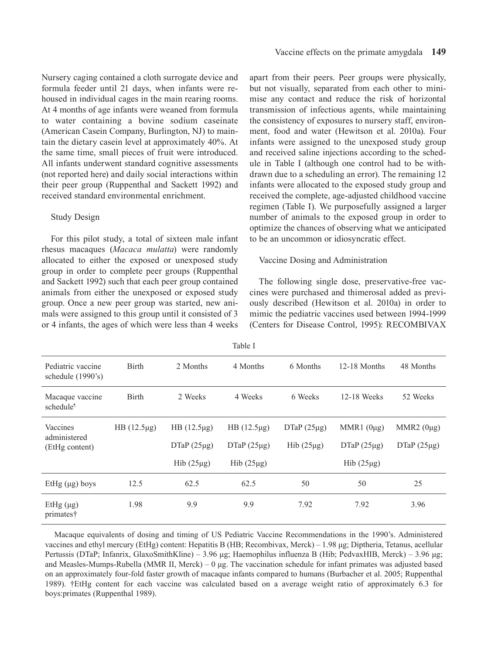Nursery caging contained a cloth surrogate device and formula feeder until 21 days, when infants were rehoused in individual cages in the main rearing rooms. At 4 months of age infants were weaned from formula to water containing a bovine sodium caseinate (American Casein Company, Burlington, NJ) to maintain the dietary casein level at approximately 40%. At the same time, small pieces of fruit were introduced. All infants underwent standard cognitive assessments (not reported here) and daily social interactions within their peer group (Ruppenthal and Sackett 1992) and received standard environmental enrichment.

#### Study Design

For this pilot study, a total of sixteen male infant rhesus macaques (*Macaca mulatta*) were randomly allocated to either the exposed or unexposed study group in order to complete peer groups (Ruppenthal and Sackett 1992) such that each peer group contained animals from either the unexposed or exposed study group. Once a new peer group was started, new animals were assigned to this group until it consisted of 3 or 4 infants, the ages of which were less than 4 weeks apart from their peers. Peer groups were physically, but not visually, separated from each other to minimise any contact and reduce the risk of horizontal transmission of infectious agents, while maintaining the consistency of exposures to nursery staff, environment, food and water (Hewitson et al. 2010a). Four infants were assigned to the unexposed study group and received saline injections according to the schedule in Table I (although one control had to be withdrawn due to a scheduling an error). The remaining 12 infants were allocated to the exposed study group and received the complete, age-adjusted childhood vaccine regimen (Table I). We purposefully assigned a larger number of animals to the exposed group in order to optimize the chances of observing what we anticipated to be an uncommon or idiosyncratic effect.

## Vaccine Dosing and Administration

The following single dose, preservative-free vaccines were purchased and thimerosal added as previously described (Hewitson et al. 2010a) in order to mimic the pediatric vaccines used between 1994-1999 (Centers for Disease Control, 1995): RECOMBIVAX

|                                            |                 |                                                      | Table I                                              |                                    |                                                      |                                    |
|--------------------------------------------|-----------------|------------------------------------------------------|------------------------------------------------------|------------------------------------|------------------------------------------------------|------------------------------------|
| Pediatric vaccine<br>schedule (1990's)     | Birth           | 2 Months                                             | 4 Months                                             | 6 Months                           | 12-18 Months                                         | 48 Months                          |
| Macaque vaccine<br>schedule <sup>1</sup>   | <b>Birth</b>    | 2 Weeks                                              | 4 Weeks                                              | 6 Weeks                            | 12-18 Weeks                                          | 52 Weeks                           |
| Vaccines<br>administered<br>(EtHg content) | $HB(12.5\mu g)$ | $HB(12.5\mu g)$<br>$DTaP(25\mu g)$<br>$Hib(25\mu g)$ | $HB(12.5\mu g)$<br>$DTaP(25\mu g)$<br>$Hib(25\mu g)$ | DTaP $(25\mu g)$<br>$Hib(25\mu g)$ | MMR1 $(0\mu g)$<br>$DTaP(25\mu g)$<br>$Hib(25\mu g)$ | MMR2 $(0\mu g)$<br>$DTaP(25\mu g)$ |
| EtHg $(\mu g)$ boys                        | 12.5            | 62.5                                                 | 62.5                                                 | 50                                 | 50                                                   | 25                                 |
| EtHg $(\mu g)$<br>primates†                | 1.98            | 9.9                                                  | 9.9                                                  | 7.92                               | 7.92                                                 | 3.96                               |

Macaque equivalents of dosing and timing of US Pediatric Vaccine Recommendations in the 1990's. Administered vaccines and ethyl mercury (EtHg) content: Hepatitis B (HB; Recombivax, Merck) – 1.98 μg; Diptheria, Tetanus, acellular Pertussis (DTaP; Infanrix, GlaxoSmithKline) – 3.96 μg; Haemophilus influenza B (Hib; PedvaxHIB, Merck) – 3.96 μg; and Measles-Mumps-Rubella (MMR II, Merck) – 0 µg. The vaccination schedule for infant primates was adjusted based on an approximately four-fold faster growth of macaque infants compared to humans (Burbacher et al. 2005; Ruppenthal 1989). †EtHg content for each vaccine was calculated based on a average weight ratio of approximately 6.3 for boys:primates (Ruppenthal 1989).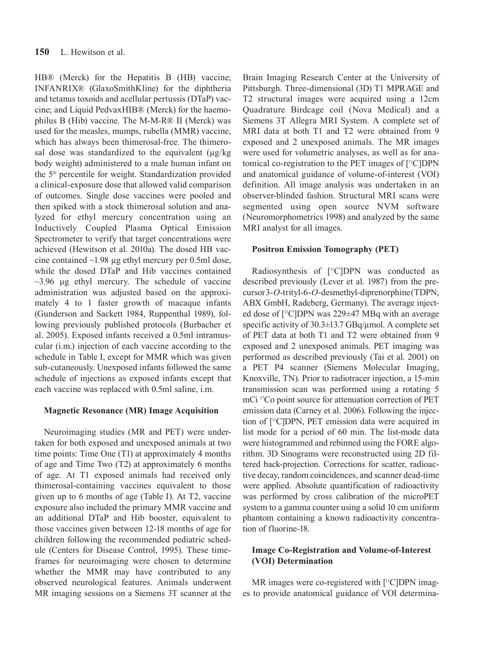HB® (Merck) for the Hepatitis B (HB) vaccine; INFANRIX® (GlaxoSmithKline) for the diphtheria and tetanus toxoids and acellular pertussis (DTaP) vaccine; and Liquid PedvaxHIB® (Merck) for the haemophilus B (Hib) vaccine. The M-M-R® II (Merck) was used for the measles, mumps, rubella (MMR) vaccine, which has always been thimerosal-free. The thimerosal dose was standardized to the equivalent (µg/kg body weight) administered to a male human infant on the 5<sup>th</sup> percentile for weight. Standardization provided a clinical-exposure dose that allowed valid comparison of outcomes. Single dose vaccines were pooled and then spiked with a stock thimerosal solution and analyzed for ethyl mercury concentration using an Inductively Coupled Plasma Optical Emission Spectrometer to verify that target concentrations were achieved (Hewitson et al. 2010a). The dosed HB vaccine contained  $\sim$ 1.98 µg ethyl mercury per 0.5ml dose, while the dosed DTaP and Hib vaccines contained  $\sim$ 3.96  $\mu$ g ethyl mercury. The schedule of vaccine administration was adjusted based on the approximately 4 to 1 faster growth of macaque infants (Gunderson and Sackett 1984, Ruppenthal 1989), following previously published protocols (Burbacher et al. 2005). Exposed infants received a 0.5ml intramuscular (i.m.) injection of each vaccine according to the schedule in Table I, except for MMR which was given sub-cutaneously. Unexposed infants followed the same schedule of injections as exposed infants except that each vaccine was replaced with 0.5ml saline, i.m.

## **Magnetic Resonance (MR) Image Acquisition**

Neuroimaging studies (MR and PET) were undertaken for both exposed and unexposed animals at two time points: Time One (T1) at approximately 4 months of age and Time Two (T2) at approximately 6 months of age. At T1 exposed animals had received only thimerosal-containing vaccines equivalent to those given up to 6 months of age (Table I). At T2, vaccine exposure also included the primary MMR vaccine and an additional DTaP and Hib booster, equivalent to those vaccines given between 12-18 months of age for children following the recommended pediatric schedule (Centers for Disease Control, 1995). These timeframes for neuroimaging were chosen to determine whether the MMR may have contributed to any observed neurological features. Animals underwent MR imaging sessions on a Siemens 3T scanner at the Brain Imaging Research Center at the University of Pittsburgh. Three-dimensional (3D) T1 MPRAGE and T2 structural images were acquired using a 12cm Quadrature Birdcage coil (Nova Medical) and a Siemens 3T Allegra MRI System. A complete set of MRI data at both T1 and T2 were obtained from 9 exposed and 2 unexposed animals. The MR images were used for volumetric analyses, as well as for anatomical co-registration to the PET images of [11C]DPN and anatomical guidance of volume-of-interest (VOI) definition. All image analysis was undertaken in an observer-blinded fashion. Structural MRI scans were segmented using open source NVM software (Neuromorphometrics 1998) and analyzed by the same MRI analyst for all images.

## **Positron Emission Tomography (PET)**

Radiosynthesis of [<sup>11</sup>C]DPN was conducted as described previously (Lever et al. 1987) from the precursor 3-*O*-trityl-6-*O*-desmethyl-diprenorphine (TDPN, ABX GmbH, Radeberg, Germany). The average injected dose of [11C]DPN was 229±47 MBq with an average specific activity of 30.3±13.7 GBq/µmol. A complete set of PET data at both T1 and T2 were obtained from 9 exposed and 2 unexposed animals. PET imaging was performed as described previously (Tai et al. 2001) on a PET P4 scanner (Siemens Molecular Imaging, Knoxville, TN). Prior to radiotracer injection, a 15-min transmission scan was performed using a rotating 5 mCi 57Co point source for attenuation correction of PET emission data (Carney et al. 2006). Following the injection of [11C]DPN, PET emission data were acquired in list mode for a period of 60 min. The list-mode data were histogrammed and rebinned using the FORE algorithm. 3D Sinograms were reconstructed using 2D filtered back-projection. Corrections for scatter, radioactive decay, random coincidences, and scanner dead-time were applied. Absolute quantification of radioactivity was performed by cross calibration of the microPET system to a gamma counter using a solid 10 cm uniform phantom containing a known radioactivity concentration of fluorine-18.

# **Image Co-Registration and Volume-of-Interest (VOI) Determination**

MR images were co-registered with [<sup>11</sup>C]DPN images to provide anatomical guidance of VOI determina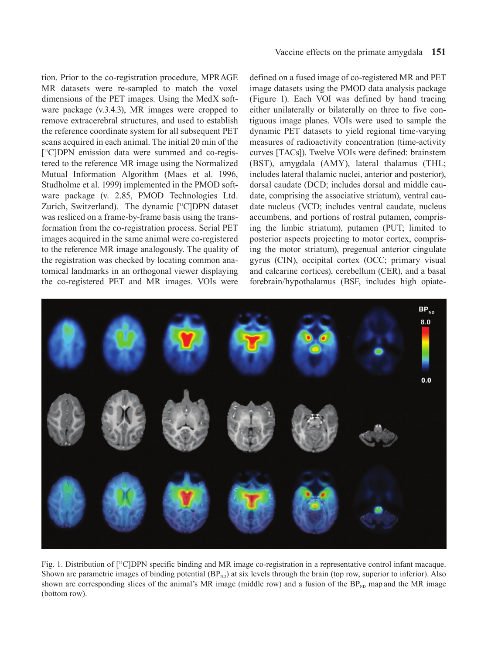tion. Prior to the co-registration procedure, MPRAGE MR datasets were re-sampled to match the voxel dimensions of the PET images. Using the MedX software package (v.3.4.3), MR images were cropped to remove extracerebral structures, and used to establish the reference coordinate system for all subsequent PET scans acquired in each animal. The initial 20 min of the [ 11C]DPN emission data were summed and co-registered to the reference MR image using the Normalized Mutual Information Algorithm (Maes et al. 1996, Studholme et al. 1999) implemented in the PMOD software package (v. 2.85, PMOD Technologies Ltd. Zurich, Switzerland). The dynamic [<sup>11</sup>C]DPN dataset was resliced on a frame-by-frame basis using the transformation from the co-registration process. Serial PET images acquired in the same animal were co-registered to the reference MR image analogously. The quality of the registration was checked by locating common anatomical landmarks in an orthogonal viewer displaying the co-registered PET and MR images. VOIs were defined on a fused image of co-registered MR and PET image datasets using the PMOD data analysis package (Figure 1). Each VOI was defined by hand tracing either unilaterally or bilaterally on three to five contiguous image planes. VOIs were used to sample the dynamic PET datasets to yield regional time-varying measures of radioactivity concentration (time-activity curves [TACs]). Twelve VOIs were defined: brainstem (BST), amygdala (AMY), lateral thalamus (THL; includes lateral thalamic nuclei, anterior and posterior), dorsal caudate (DCD; includes dorsal and middle caudate, comprising the associative striatum), ventral caudate nucleus (VCD; includes ventral caudate, nucleus accumbens, and portions of rostral putamen, comprising the limbic striatum), putamen (PUT; limited to posterior aspects projecting to motor cortex, comprising the motor striatum), pregenual anterior cingulate gyrus (CIN), occipital cortex (OCC; primary visual and calcarine cortices), cerebellum (CER), and a basal forebrain/hypothalamus (BSF, includes high opiate-



Fig. 1. Distribution of [11C]DPN specific binding and MR image co-registration in a representative control infant macaque. Shown are parametric images of binding potential  $(BP_{ND})$  at six levels through the brain (top row, superior to inferior). Also shown are corresponding slices of the animal's MR image (middle row) and a fusion of the  $BP_{ND}$  map and the MR image (bottom row).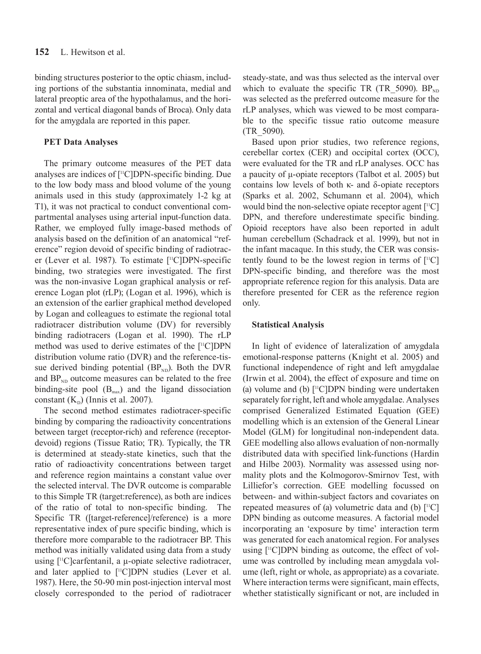binding structures posterior to the optic chiasm, including portions of the substantia innominata, medial and lateral preoptic area of the hypothalamus, and the horizontal and vertical diagonal bands of Broca). Only data for the amygdala are reported in this paper.

## **PET Data Analyses**

The primary outcome measures of the PET data analyses are indices of [11C]DPN-specific binding. Due to the low body mass and blood volume of the young animals used in this study (approximately 1-2 kg at T1), it was not practical to conduct conventional compartmental analyses using arterial input-function data. Rather, we employed fully image-based methods of analysis based on the definition of an anatomical "reference" region devoid of specific binding of radiotracer (Lever et al. 1987). To estimate [11C]DPN-specific binding, two strategies were investigated. The first was the non-invasive Logan graphical analysis or reference Logan plot (rLP); (Logan et al. 1996), which is an extension of the earlier graphical method developed by Logan and colleagues to estimate the regional total radiotracer distribution volume (DV) for reversibly binding radiotracers (Logan et al. 1990). The rLP method was used to derive estimates of the [11C]DPN distribution volume ratio (DVR) and the reference-tissue derived binding potential  $(BP_{ND})$ . Both the DVR and  $BP_{ND}$  outcome measures can be related to the free binding-site pool  $(B<sub>max</sub>)$  and the ligand dissociation constant  $(K<sub>D</sub>)$  (Innis et al. 2007).

The second method estimates radiotracer-specific binding by comparing the radioactivity concentrations between target (receptor-rich) and reference (receptordevoid) regions (Tissue Ratio; TR). Typically, the TR is determined at steady-state kinetics, such that the ratio of radioactivity concentrations between target and reference region maintains a constant value over the selected interval. The DVR outcome is comparable to this Simple TR (target:reference), as both are indices of the ratio of total to non-specific binding. The Specific TR ([target-reference]/reference) is a more representative index of pure specific binding, which is therefore more comparable to the radiotracer BP. This method was initially validated using data from a study using  $[$ <sup>11</sup>C]carfentanil, a  $\mu$ -opiate selective radiotracer, and later applied to [<sup>11</sup>C]DPN studies (Lever et al. 1987). Here, the 50-90 min post-injection interval most closely corresponded to the period of radiotracer steady-state, and was thus selected as the interval over which to evaluate the specific TR (TR\_5090).  $BP_{ND}$ was selected as the preferred outcome measure for the rLP analyses, which was viewed to be most comparable to the specific tissue ratio outcome measure (TR\_5090).

Based upon prior studies, two reference regions, cerebellar cortex (CER) and occipital cortex (OCC), were evaluated for the TR and rLP analyses. OCC has a paucity of μ-opiate receptors (Talbot et al. 2005) but contains low levels of both κ- and δ-opiate receptors (Sparks et al. 2002, Schumann et al. 2004), which would bind the non-selective opiate receptor agent [11C] DPN, and therefore underestimate specific binding. Opioid receptors have also been reported in adult human cerebellum (Schadrack et al. 1999), but not in the infant macaque. In this study, the CER was consistently found to be the lowest region in terms of  $[{}^{11}C]$ DPN-specific binding, and therefore was the most appropriate reference region for this analysis. Data are therefore presented for CER as the reference region only.

## **Statistical Analysis**

In light of evidence of lateralization of amygdala emotional-response patterns (Knight et al. 2005) and functional independence of right and left amygdalae (Irwin et al. 2004), the effect of exposure and time on (a) volume and (b)  $[$ <sup>11</sup>C]DPN binding were undertaken separately for right, left and whole amygdalae. Analyses comprised Generalized Estimated Equation (GEE) modelling which is an extension of the General Linear Model (GLM) for longitudinal non-independent data. GEE modelling also allows evaluation of non-normally distributed data with specified link-functions (Hardin and Hilbe 2003). Normality was assessed using normality plots and the Kolmogorov-Smirnov Test, with Lilliefor's correction. GEE modelling focussed on between- and within-subject factors and covariates on repeated measures of (a) volumetric data and (b)  $[$ <sup>11</sup>C] DPN binding as outcome measures. A factorial model incorporating an 'exposure by time' interaction term was generated for each anatomical region. For analyses using  $[$ <sup>11</sup>C $]$ DPN binding as outcome, the effect of volume was controlled by including mean amygdala volume (left, right or whole, as appropriate) as a covariate. Where interaction terms were significant, main effects, whether statistically significant or not, are included in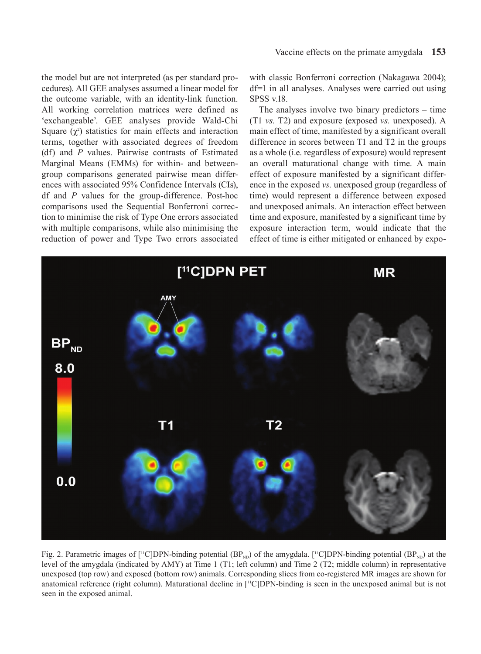the model but are not interpreted (as per standard procedures). All GEE analyses assumed a linear model for the outcome variable, with an identity-link function. All working correlation matrices were defined as 'exchangeable'. GEE analyses provide Wald-Chi Square  $(\chi^2)$  statistics for main effects and interaction terms, together with associated degrees of freedom (df) and *P* values. Pairwise contrasts of Estimated Marginal Means (EMMs) for within- and betweengroup comparisons generated pairwise mean differences with associated 95% Confidence Intervals (CIs), df and *P* values for the group-difference. Post-hoc comparisons used the Sequential Bonferroni correction to minimise the risk of Type One errors associated with multiple comparisons, while also minimising the reduction of power and Type Two errors associated

with classic Bonferroni correction (Nakagawa 2004); df=1 in all analyses. Analyses were carried out using SPSS v.18.

The analyses involve two binary predictors – time (T1 *vs.* T2) and exposure (exposed *vs.* unexposed). A main effect of time, manifested by a significant overall difference in scores between T1 and T2 in the groups as a whole (i.e. regardless of exposure) would represent an overall maturational change with time. A main effect of exposure manifested by a significant difference in the exposed *vs.* unexposed group (regardless of time) would represent a difference between exposed and unexposed animals. An interaction effect between time and exposure, manifested by a significant time by exposure interaction term, would indicate that the effect of time is either mitigated or enhanced by expo-



Fig. 2. Parametric images of [<sup>11</sup>C]DPN-binding potential  $(BP_{ND})$  of the amygdala. [<sup>11</sup>C]DPN-binding potential  $(BP_{ND})$  at the level of the amygdala (indicated by AMY) at Time 1 (T1; left column) and Time 2 (T2; middle column) in representative unexposed (top row) and exposed (bottom row) animals. Corresponding slices from co-registered MR images are shown for anatomical reference (right column). Maturational decline in [<sup>11</sup>C]DPN-binding is seen in the unexposed animal but is not seen in the exposed animal.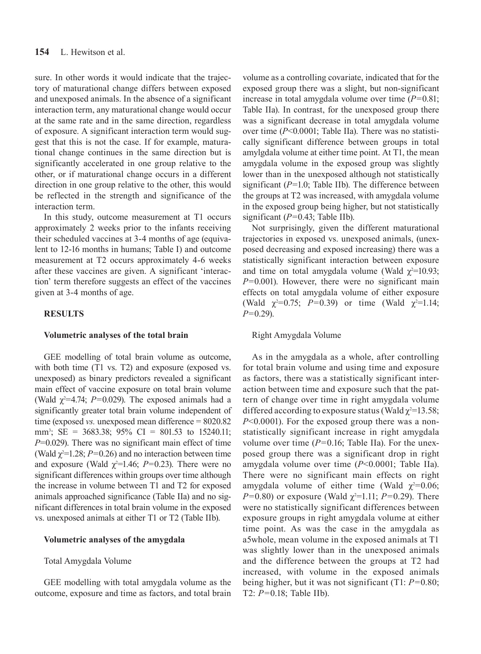sure. In other words it would indicate that the trajectory of maturational change differs between exposed and unexposed animals. In the absence of a significant interaction term, any maturational change would occur at the same rate and in the same direction, regardless of exposure. A significant interaction term would suggest that this is not the case. If for example, maturational change continues in the same direction but is significantly accelerated in one group relative to the other, or if maturational change occurs in a different direction in one group relative to the other, this would be reflected in the strength and significance of the interaction term.

In this study, outcome measurement at T1 occurs approximately 2 weeks prior to the infants receiving their scheduled vaccines at 3-4 months of age (equivalent to 12-16 months in humans; Table I) and outcome measurement at T2 occurs approximately 4-6 weeks after these vaccines are given. A significant 'interaction' term therefore suggests an effect of the vaccines given at 3-4 months of age.

## **RESULTS**

#### **Volumetric analyses of the total brain**

GEE modelling of total brain volume as outcome, with both time (T1 vs. T2) and exposure (exposed vs. unexposed) as binary predictors revealed a significant main effect of vaccine exposure on total brain volume (Wald  $\chi^2$ =4.74; *P*=0.029). The exposed animals had a significantly greater total brain volume independent of time (exposed *vs.* unexposed mean difference = 8020.82 mm3 ; SE = 3683.38; 95% CI = 801.53 to 15240.11; *P*=0.029). There was no significant main effect of time (Wald  $\chi^2$ =1.28; *P*=0.26) and no interaction between time and exposure (Wald  $\chi^2$ =1.46; *P*=0.23). There were no significant differences within groups over time although the increase in volume between T1 and T2 for exposed animals approached significance (Table IIa) and no significant differences in total brain volume in the exposed vs. unexposed animals at either T1 or T2 (Table IIb).

#### **Volumetric analyses of the amygdala**

Total Amygdala Volume

GEE modelling with total amygdala volume as the outcome, exposure and time as factors, and total brain volume as a controlling covariate, indicated that for the exposed group there was a slight, but non-significant increase in total amygdala volume over time (*P=*0.81; Table IIa). In contrast, for the unexposed group there was a significant decrease in total amygdala volume over time (*P*<0.0001; Table IIa). There was no statistically significant difference between groups in total amylgdala volume at either time point. At T1, the mean amygdala volume in the exposed group was slightly lower than in the unexposed although not statistically significant (*P=*1.0; Table IIb). The difference between the groups at T2 was increased, with amygdala volume in the exposed group being higher, but not statistically significant (*P=*0.43; Table IIb).

Not surprisingly, given the different maturational trajectories in exposed vs. unexposed animals, (unexposed decreasing and exposed increasing) there was a statistically significant interaction between exposure and time on total amygdala volume (Wald  $\chi^2$ =10.93; *P=*0.001). However, there were no significant main effects on total amygdala volume of either exposure (Wald  $\chi^2=0.75$ ;  $P=0.39$ ) or time (Wald  $\chi^2=1.14$ ; *P=*0.29).

#### Right Amygdala Volume

As in the amygdala as a whole, after controlling for total brain volume and using time and exposure as factors, there was a statistically significant interaction between time and exposure such that the pattern of change over time in right amygdala volume differed according to exposure status (Wald  $\chi^2$ =13.58; *P*<0.0001). For the exposed group there was a nonstatistically significant increase in right amygdala volume over time (*P=*0.16; Table IIa). For the unexposed group there was a significant drop in right amygdala volume over time (*P*<0.0001; Table IIa). There were no significant main effects on right amygdala volume of either time (Wald  $\chi^2$ =0.06; *P*=0.80) or exposure (Wald  $\chi^2$ =1.11; *P*=0.29). There were no statistically significant differences between exposure groups in right amygdala volume at either time point. As was the case in the amygdala as a5whole, mean volume in the exposed animals at T1 was slightly lower than in the unexposed animals and the difference between the groups at T2 had increased, with volume in the exposed animals being higher, but it was not significant (T1: *P=*0.80; T2: *P=*0.18; Table IIb).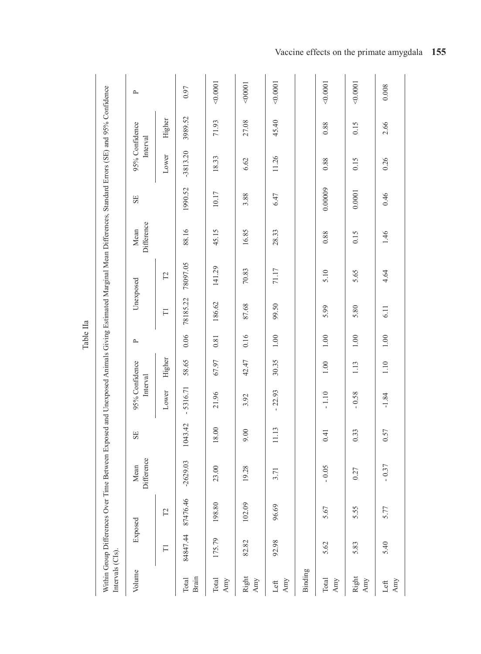|                                                                                                                                                              |                  | $\sim$                     |                     | 0.97           | 0.0001       | 100000                 | 0.0001      |         | 0.0001       | 0.0001       | 0.008                      |
|--------------------------------------------------------------------------------------------------------------------------------------------------------------|------------------|----------------------------|---------------------|----------------|--------------|------------------------|-------------|---------|--------------|--------------|----------------------------|
|                                                                                                                                                              |                  |                            | Higher              | 3989.52        | 71.93        | 27.08                  | 45.40       |         | 0.88         | 0.15         | 2.66                       |
|                                                                                                                                                              |                  | 95% Confidence<br>Interval | Lower               | $-3813.20$     | 18.33        | 6.62                   | 11.26       |         | 0.88         | 0.15         | 0.26                       |
|                                                                                                                                                              |                  | SE                         |                     | 1990.52        | 10.17        | 3.88                   | 6.47        |         | 0.00009      | 0.0001       | 0.46                       |
|                                                                                                                                                              |                  | Difference<br>Mean         |                     | 88.16          | 45.15        | 16.85                  | 28.33       |         | 0.88         | 0.15         | 1.46                       |
|                                                                                                                                                              |                  |                            | $\Gamma$            | 78097.05       | 141.29       | 70.83                  | 71.17       |         | 5.10         | 5.65         | 4.64                       |
|                                                                                                                                                              |                  | Unexposed                  | $\overline{\Box}$   | 78185.22       | 186.62       | 87.68                  | 99.50       |         | 5.99         | 5.80         | 6.11                       |
|                                                                                                                                                              |                  | $\mathbf{r}$               |                     | 0.06           | $\rm 0.81$   | 0.16                   | $1.00\,$    |         | $1.00\,$     | 1.00         | $1.00\,$                   |
|                                                                                                                                                              |                  |                            | Higher              | 58.65          | 67.97        | 42.47                  | 30.35       |         | 1.00         | 1.13         | 1.10                       |
|                                                                                                                                                              |                  | 95% Confidence<br>Interval | Lower               | $-5316.71$     | 21.96        | 3.92                   | $-22.93$    |         | $-1.10$      | $-0.58$      | $-1.84$                    |
|                                                                                                                                                              |                  | SE                         |                     | 1043.42        | 8.00         | 00.6                   | 11.13       |         | 0.41         | 0.33         | 0.57                       |
| Within Group Differences Over Time Between Exposed and Unexposed Animals Giving Estimated Marginal Mean Differences, Standard Errors (SE) and 95% Confidence |                  | Difference<br>Mean         |                     | $-2629.03$     | 23.00        | 19.28                  | 3.71        |         | $-0.05$      | 0.27         | $-0.37$                    |
|                                                                                                                                                              |                  |                            | $\Gamma$            | 87476.46       | 198.80       | 102.09                 | 96.69       |         | 5.67         | 5.55         | 5.77                       |
|                                                                                                                                                              |                  | Exposed                    | $\overline{\Gamma}$ | 84847.44       | 175.79       | 82.82                  | 92.98       |         | 5.62         | 5.83         | 5.40                       |
|                                                                                                                                                              | Intervals (CIs). | Volume                     |                     | Brain<br>Total | Total<br>Amy | Right<br>$_{\rm{Amy}}$ | Amy<br>Left | Binding | Total<br>Amy | Right<br>Amy | $\mbox{{\sc And}}$<br>Left |

Table IIa

Vaccine effects on the primate amygdala **155**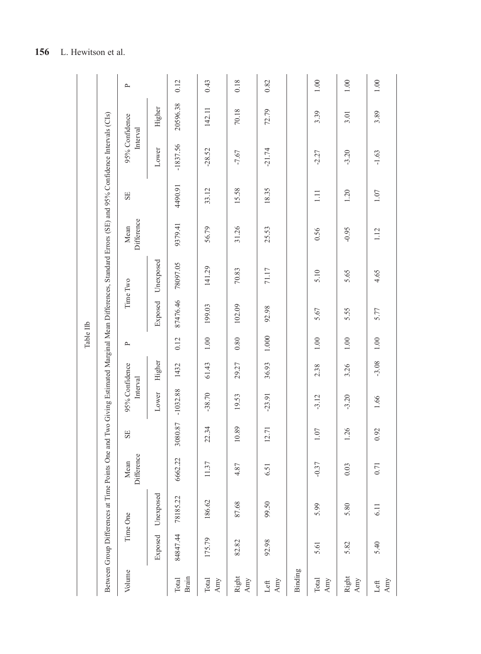|                                 | Time One | Between Group Differences at Time Points One and<br>Mean | SE      | 95% Confidence |         | Table IIb<br>$\sim$ |          | Two Giving Estimated Marginal Mean Differences, Standard Errors (SE) and 95% Confidence Intervals (CIs)<br>Time Two | Mean       | SE      | 95% Confidence |          | $\mathbb{\Delta}$ |
|---------------------------------|----------|----------------------------------------------------------|---------|----------------|---------|---------------------|----------|---------------------------------------------------------------------------------------------------------------------|------------|---------|----------------|----------|-------------------|
| Difference                      |          |                                                          |         | Interval       |         |                     |          |                                                                                                                     | Difference |         | Interval       |          |                   |
| Unexposed<br>Exposed            |          |                                                          |         | Lower          | Higher  |                     | Exposed  | Unexposed                                                                                                           |            |         | Lower          | Higher   |                   |
| 6662.22<br>78185.22<br>84847.44 |          |                                                          | 3080.87 | $-1032.88$     | 1432    | 0.12                | 87476.46 | 78097.05                                                                                                            | 9379.41    | 4490.91 | $-1837.56$     | 20596.38 | 0.12              |
| 11.37<br>186.62<br>175.79       |          |                                                          | 22.34   | $-38.70$       | 61.43   | $1.00\,$            | 199.03   | 141.29                                                                                                              | 56.79      | 33.12   | $-28.52$       | 142.11   | 0.43              |
| 4.87<br>87.68                   |          |                                                          | 0.89    | 19.53          | 29.27   | 0.80                | 102.09   | 70.83                                                                                                               | 31.26      | 15.58   | $-7.67$        | 70.18    | 0.18              |
| 6.51<br>99.50                   |          |                                                          | 2.71    | $-23.91$       | 36.93   | 1.000               | 92.98    | 71.17                                                                                                               | 25.53      | 18.35   | $-21.74$       | 72.79    | 0.82              |
|                                 |          |                                                          |         |                |         |                     |          |                                                                                                                     |            |         |                |          |                   |
| $-0.37$<br>5.99                 |          |                                                          | 07      | $-3.12$        | 2.38    | $1.00\,$            | 5.67     | 5.10                                                                                                                | 0.56       | Ξ       | $-2.27$        | 3.39     | 1.00              |
| 0.03<br>5.80                    |          |                                                          | .26     | $-3.20$        | 3.26    | 1.00                | 5.55     | 5.65                                                                                                                | $-0.95$    | 1.20    | $-3.20$        | 3.01     | $1.00\,$          |
| 0.71<br>6.11                    |          |                                                          | 92      | 1.66           | $-3.08$ | 1.00                | 5.77     | 4.65                                                                                                                | 1.12       | 1.07    | $-1.63$        | 3.89     | 1.00              |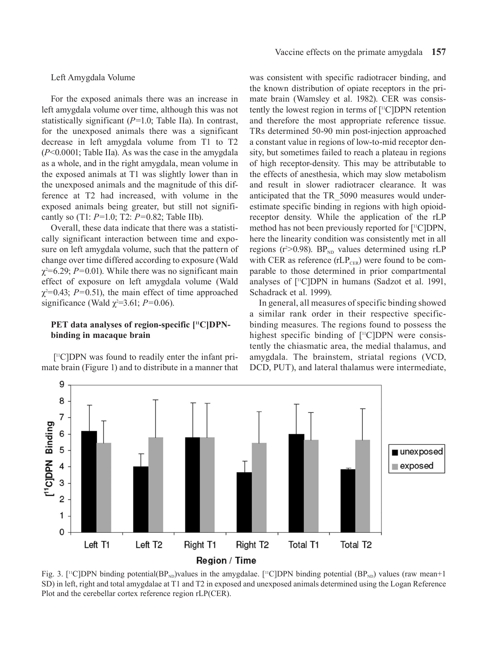#### Left Amygdala Volume

For the exposed animals there was an increase in left amygdala volume over time, although this was not statistically significant (*P=*1.0; Table IIa). In contrast, for the unexposed animals there was a significant decrease in left amygdala volume from T1 to T2 (*P*<0.0001; Table IIa). As was the case in the amygdala as a whole, and in the right amygdala, mean volume in the exposed animals at T1 was slightly lower than in the unexposed animals and the magnitude of this difference at T2 had increased, with volume in the exposed animals being greater, but still not significantly so (T1: *P=*1.0; T2: *P=*0.82; Table IIb).

Overall, these data indicate that there was a statistically significant interaction between time and exposure on left amygdala volume, such that the pattern of change over time differed according to exposure (Wald χ2 =6.29; *P=*0.01). While there was no significant main effect of exposure on left amygdala volume (Wald  $\chi^2$ =0.43; *P*=0.51), the main effect of time approached significance (Wald  $\chi^2$ =3.61; *P*=0.06).

## PET data analyses of region-specific [<sup>11</sup>C]DPN**binding in macaque brain**

 [11C]DPN was found to readily enter the infant primate brain (Figure 1) and to distribute in a manner that was consistent with specific radiotracer binding, and the known distribution of opiate receptors in the primate brain (Wamsley et al. 1982). CER was consistently the lowest region in terms of [11C]DPN retention and therefore the most appropriate reference tissue. TRs determined 50-90 min post-injection approached a constant value in regions of low-to-mid receptor density, but sometimes failed to reach a plateau in regions of high receptor-density. This may be attributable to the effects of anesthesia, which may slow metabolism and result in slower radiotracer clearance. It was anticipated that the TR\_5090 measures would underestimate specific binding in regions with high opioidreceptor density. While the application of the rLP method has not been previously reported for [11C]DPN, here the linearity condition was consistently met in all regions ( $r^2 > 0.98$ ). BP<sub>ND</sub> values determined using rLP with CER as reference  $(rLP_{CER})$  were found to be comparable to those determined in prior compartmental analyses of [11C]DPN in humans (Sadzot et al. 1991, Schadrack et al. 1999).

In general, all measures of specific binding showed a similar rank order in their respective specificbinding measures. The regions found to possess the highest specific binding of [<sup>11</sup>C]DPN were consistently the chiasmatic area, the medial thalamus, and amygdala. The brainstem, striatal regions (VCD, DCD, PUT), and lateral thalamus were intermediate,



Fig. 3. [<sup>11</sup>C]DPN binding potential(BP<sub>ND</sub>)values in the amygdalae. [<sup>11</sup>C]DPN binding potential (BP<sub>ND</sub>) values (raw mean+1 SD) in left, right and total amygdalae at T1 and T2 in exposed and unexposed animals determined using the Logan Reference Plot and the cerebellar cortex reference region rLP(CER).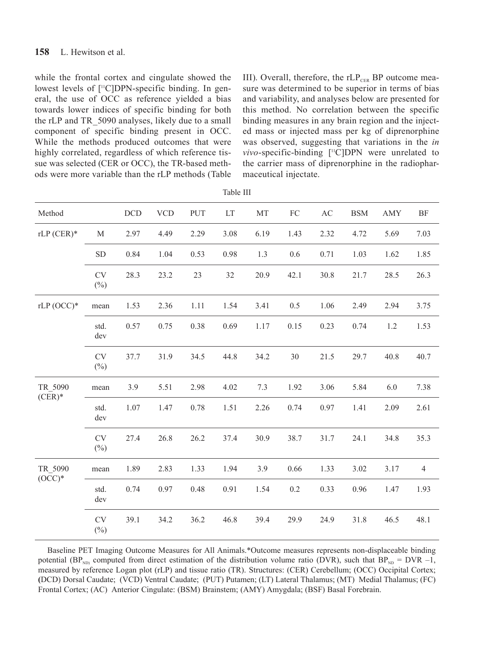## **158** L. Hewitson et al.

while the frontal cortex and cingulate showed the lowest levels of [<sup>11</sup>C]DPN-specific binding. In general, the use of OCC as reference yielded a bias towards lower indices of specific binding for both the rLP and TR\_5090 analyses, likely due to a small component of specific binding present in OCC. While the methods produced outcomes that were highly correlated, regardless of which reference tissue was selected (CER or OCC), the TR-based methods were more variable than the rLP methods (Table III). Overall, therefore, the  $rLP_{CER}$  BP outcome measure was determined to be superior in terms of bias and variability, and analyses below are presented for this method. No correlation between the specific binding measures in any brain region and the injected mass or injected mass per kg of diprenorphine was observed, suggesting that variations in the *in vivo*-specific-binding [<sup>11</sup>C]DPN were unrelated to the carrier mass of diprenorphine in the radiopharmaceutical injectate.

| Method              |                     | DCD  | <b>VCD</b> | PUT  | LT   | MT   | FC   | $\mathbf{A}\mathbf{C}$ | <b>BSM</b> | <b>AMY</b> | <b>BF</b>      |
|---------------------|---------------------|------|------------|------|------|------|------|------------------------|------------|------------|----------------|
| $rLP$ (CER)*        | M                   | 2.97 | 4.49       | 2.29 | 3.08 | 6.19 | 1.43 | 2.32                   | 4.72       | 5.69       | 7.03           |
|                     | ${\rm SD}$          | 0.84 | 1.04       | 0.53 | 0.98 | 1.3  | 0.6  | 0.71                   | 1.03       | 1.62       | 1.85           |
|                     | <b>CV</b><br>$(\%)$ | 28.3 | 23.2       | 23   | 32   | 20.9 | 42.1 | 30.8                   | 21.7       | 28.5       | 26.3           |
| $rLP(OCC)*$         | mean                | 1.53 | 2.36       | 1.11 | 1.54 | 3.41 | 0.5  | 1.06                   | 2.49       | 2.94       | 3.75           |
|                     | std.<br>dev         | 0.57 | 0.75       | 0.38 | 0.69 | 1.17 | 0.15 | 0.23                   | 0.74       | 1.2        | 1.53           |
|                     | <b>CV</b><br>$(\%)$ | 37.7 | 31.9       | 34.5 | 44.8 | 34.2 | 30   | 21.5                   | 29.7       | 40.8       | 40.7           |
| TR 5090<br>$(CER)*$ | mean                | 3.9  | 5.51       | 2.98 | 4.02 | 7.3  | 1.92 | 3.06                   | 5.84       | 6.0        | 7.38           |
|                     | std.<br>dev         | 1.07 | 1.47       | 0.78 | 1.51 | 2.26 | 0.74 | 0.97                   | 1.41       | 2.09       | 2.61           |
|                     | <b>CV</b><br>$(\%)$ | 27.4 | 26.8       | 26.2 | 37.4 | 30.9 | 38.7 | 31.7                   | 24.1       | 34.8       | 35.3           |
| TR_5090<br>$(OCC)*$ | mean                | 1.89 | 2.83       | 1.33 | 1.94 | 3.9  | 0.66 | 1.33                   | 3.02       | 3.17       | $\overline{4}$ |
|                     | std.<br>dev         | 0.74 | 0.97       | 0.48 | 0.91 | 1.54 | 0.2  | 0.33                   | 0.96       | 1.47       | 1.93           |
|                     | <b>CV</b><br>$(\%)$ | 39.1 | 34.2       | 36.2 | 46.8 | 39.4 | 29.9 | 24.9                   | 31.8       | 46.5       | 48.1           |

Table III

Baseline PET Imaging Outcome Measures for All Animals.\*Outcome measures represents non-displaceable binding potential (BP<sub>ND)</sub> computed from direct estimation of the distribution volume ratio (DVR), such that BP<sub>ND</sub> = DVR –1, measured by reference Logan plot (rLP) and tissue ratio (TR). Structures: (CER) Cerebellum; (OCC) Occipital Cortex; **(**DCD) Dorsal Caudate; (VCD) Ventral Caudate; (PUT) Putamen; (LT) Lateral Thalamus; (MT) Medial Thalamus; (FC) Frontal Cortex; (AC) Anterior Cingulate: (BSM) Brainstem; (AMY) Amygdala; (BSF) Basal Forebrain.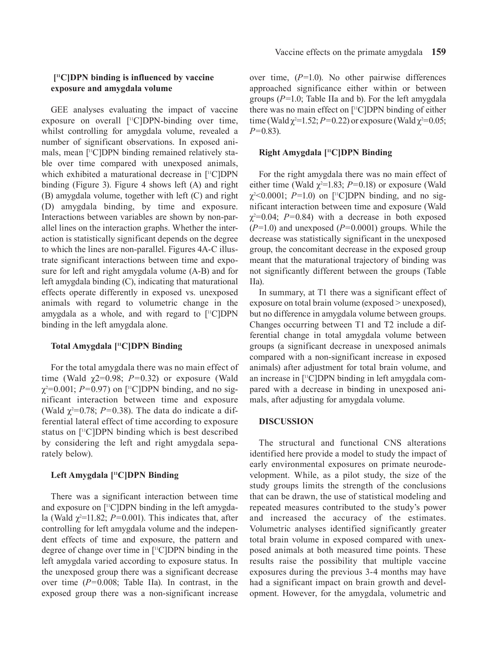# **[11C]DPN binding is influenced by vaccine exposure and amygdala volume**

GEE analyses evaluating the impact of vaccine exposure on overall [<sup>11</sup>C]DPN-binding over time, whilst controlling for amygdala volume, revealed a number of significant observations. In exposed animals, mean [11C]DPN binding remained relatively stable over time compared with unexposed animals, which exhibited a maturational decrease in [<sup>11</sup>C]DPN binding (Figure 3). Figure 4 shows left (A) and right (B) amygdala volume, together with left (C) and right (D) amygdala binding, by time and exposure. Interactions between variables are shown by non-parallel lines on the interaction graphs. Whether the interaction is statistically significant depends on the degree to which the lines are non-parallel. Figures 4A-C illustrate significant interactions between time and exposure for left and right amygdala volume (A-B) and for left amygdala binding (C), indicating that maturational effects operate differently in exposed vs. unexposed animals with regard to volumetric change in the amygdala as a whole, and with regard to  $[$ <sup>11</sup>C]DPN binding in the left amygdala alone.

# **Total Amygdala [11C]DPN Binding**

For the total amygdala there was no main effect of time (Wald  $\chi$ 2=0.98; *P*=0.32) or exposure (Wald χ2 =0.001; *P=*0.97) on [11C]DPN binding, and no significant interaction between time and exposure (Wald  $\chi^2$ =0.78; *P*=0.38). The data do indicate a differential lateral effect of time according to exposure status on [11C]DPN binding which is best described by considering the left and right amygdala separately below).

## **Left Amygdala [11C]DPN Binding**

There was a significant interaction between time and exposure on  $[$ <sup>11</sup>C]DPN binding in the left amygdala (Wald  $\chi^2$ =11.82; *P*=0.001). This indicates that, after controlling for left amygdala volume and the independent effects of time and exposure, the pattern and degree of change over time in [11C]DPN binding in the left amygdala varied according to exposure status. In the unexposed group there was a significant decrease over time (*P=*0.008; Table IIa). In contrast, in the exposed group there was a non-significant increase

over time, (*P=*1.0). No other pairwise differences approached significance either within or between groups (*P=*1.0; Table IIa and b). For the left amygdala there was no main effect on [11C]DPN binding of either time (Wald  $\chi^2$ =1.52; *P*=0.22) or exposure (Wald  $\chi^2$ =0.05; *P=*0.83).

## **Right Amygdala [11C]DPN Binding**

For the right amygdala there was no main effect of either time (Wald  $\chi^2$ =1.83; *P*=0.18) or exposure (Wald χ2 <0.0001; *P=*1.0) on [11C]DPN binding, and no significant interaction between time and exposure (Wald  $\chi^2$ =0.04; *P*=0.84) with a decrease in both exposed (*P=*1.0) and unexposed (*P=*0.0001) groups. While the decrease was statistically significant in the unexposed group, the concomitant decrease in the exposed group meant that the maturational trajectory of binding was not significantly different between the groups (Table IIa).

In summary, at T1 there was a significant effect of exposure on total brain volume (exposed > unexposed), but no difference in amygdala volume between groups. Changes occurring between T1 and T2 include a differential change in total amygdala volume between groups (a significant decrease in unexposed animals compared with a non-significant increase in exposed animals) after adjustment for total brain volume, and an increase in [11C]DPN binding in left amygdala compared with a decrease in binding in unexposed animals, after adjusting for amygdala volume.

## **DISCUSSION**

The structural and functional CNS alterations identified here provide a model to study the impact of early environmental exposures on primate neurodevelopment. While, as a pilot study, the size of the study groups limits the strength of the conclusions that can be drawn, the use of statistical modeling and repeated measures contributed to the study's power and increased the accuracy of the estimates. Volumetric analyses identified significantly greater total brain volume in exposed compared with unexposed animals at both measured time points. These results raise the possibility that multiple vaccine exposures during the previous 3-4 months may have had a significant impact on brain growth and development. However, for the amygdala, volumetric and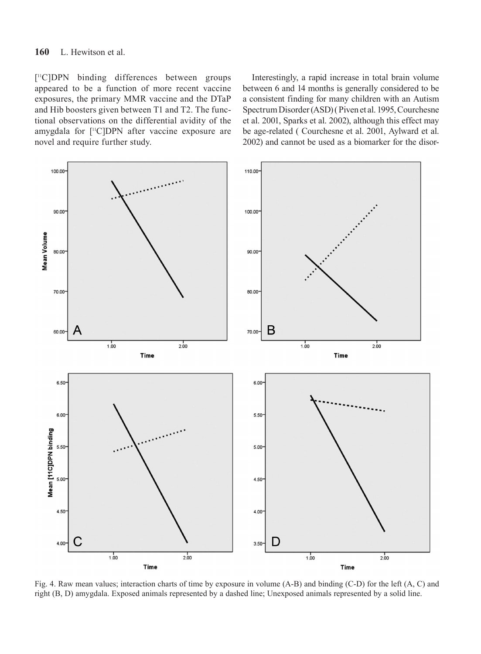# **160** L. Hewitson et al.

[ 11C]DPN binding differences between groups appeared to be a function of more recent vaccine exposures, the primary MMR vaccine and the DTaP and Hib boosters given between T1 and T2. The functional observations on the differential avidity of the amygdala for [<sup>11</sup>C]DPN after vaccine exposure are novel and require further study.

Interestingly, a rapid increase in total brain volume between 6 and 14 months is generally considered to be a consistent finding for many children with an Autism Spectrum Disorder (ASD) ( Piven et al. 1995, Courchesne et al. 2001, Sparks et al. 2002), although this effect may be age-related ( Courchesne et al. 2001, Aylward et al. 2002) and cannot be used as a biomarker for the disor-



Fig. 4. Raw mean values; interaction charts of time by exposure in volume (A-B) and binding (C-D) for the left (A, C) and right (B, D) amygdala. Exposed animals represented by a dashed line; Unexposed animals represented by a solid line.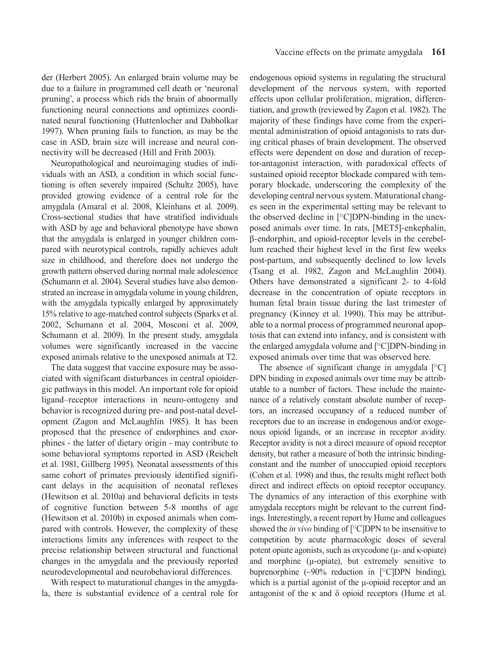der (Herbert 2005). An enlarged brain volume may be due to a failure in programmed cell death or 'neuronal pruning', a process which rids the brain of abnormally functioning neural connections and optimizes coordinated neural functioning (Huttenlocher and Dabholkar 1997). When pruning fails to function, as may be the case in ASD, brain size will increase and neural connectivity will be decreased (Hill and Frith 2003).

Neuropathological and neuroimaging studies of individuals with an ASD, a condition in which social functioning is often severely impaired (Schultz 2005), have provided growing evidence of a central role for the amygdala (Amaral et al. 2008, Kleinhans et al. 2009). Cross-sectional studies that have stratified individuals with ASD by age and behavioral phenotype have shown that the amygdala is enlarged in younger children compared with neurotypical controls, rapidly achieves adult size in childhood, and therefore does not undergo the growth pattern observed during normal male adolescence (Schumann et al. 2004). Several studies have also demonstrated an increase in amygdala volume in young children, with the amygdala typically enlarged by approximately 15% relative to age-matched control subjects (Sparks et al. 2002, Schumann et al. 2004, Mosconi et al. 2009, Schumann et al. 2009). In the present study, amygdala volumes were significantly increased in the vaccine exposed animals relative to the unexposed animals at T2.

The data suggest that vaccine exposure may be associated with significant disturbances in central opioidergic pathways in this model. An important role for opioid ligand–receptor interactions in neuro-ontogeny and behavior is recognized during pre- and post-natal development (Zagon and McLaughlin 1985). It has been proposed that the presence of endorphines and exorphines - the latter of dietary origin - may contribute to some behavioral symptoms reported in ASD (Reichelt et al. 1981, Gillberg 1995). Neonatal assessments of this same cohort of primates previously identified significant delays in the acquisition of neonatal reflexes (Hewitson et al. 2010a) and behavioral deficits in tests of cognitive function between 5-8 months of age (Hewitson et al. 2010b) in exposed animals when compared with controls. However, the complexity of these interactions limits any inferences with respect to the precise relationship between structural and functional changes in the amygdala and the previously reported neurodevelopmental and neurobehavioral differences.

With respect to maturational changes in the amygdala, there is substantial evidence of a central role for endogenous opioid systems in regulating the structural development of the nervous system, with reported effects upon cellular proliferation, migration, differentiation, and growth (reviewed by Zagon et al. 1982). The majority of these findings have come from the experimental administration of opioid antagonists to rats during critical phases of brain development. The observed effects were dependent on dose and duration of receptor-antagonist interaction, with paradoxical effects of sustained opioid receptor blockade compared with temporary blockade, underscoring the complexity of the developing central nervous system. Maturational changes seen in the experimental setting may be relevant to the observed decline in  $[$ <sup>11</sup>C]DPN-binding in the unexposed animals over time. In rats, [MET5]-enkephalin, β-endorphin, and opioid-receptor levels in the cerebellum reached their highest level in the first few weeks post-partum, and subsequently declined to low levels (Tsang et al. 1982, Zagon and McLaughlin 2004). Others have demonstrated a significant 2- to 4-fold decrease in the concentration of opiate receptors in human fetal brain tissue during the last trimester of pregnancy (Kinney et al. 1990). This may be attributable to a normal process of programmed neuronal apoptosis that can extend into infancy, and is consistent with the enlarged amygdala volume and [11C]DPN-binding in exposed animals over time that was observed here.

The absence of significant change in amygdala  $[$ <sup>11</sup>C] DPN binding in exposed animals over time may be attributable to a number of factors. These include the maintenance of a relatively constant absolute number of receptors, an increased occupancy of a reduced number of receptors due to an increase in endogenous and/or exogenous opioid ligands, or an increase in receptor avidity. Receptor avidity is not a direct measure of opioid receptor density, but rather a measure of both the intrinsic bindingconstant and the number of unoccupied opioid receptors (Cohen et al. 1998) and thus, the results might reflect both direct and indirect effects on opioid receptor occupancy. The dynamics of any interaction of this exorphine with amygdala receptors might be relevant to the current findings. Interestingly, a recent report by Hume and colleagues showed the *in vivo* binding of [11C]DPN to be insensitive to competition by acute pharmacologic doses of several potent opiate agonists, such as oxycodone (μ- and κ-opiate) and morphine (μ-opiate), but extremely sensitive to buprenorphine  $(\sim 90\%$  reduction in [<sup>11</sup>C]DPN binding), which is a partial agonist of the μ-opioid receptor and an antagonist of the  $\kappa$  and  $\delta$  opioid receptors (Hume et al.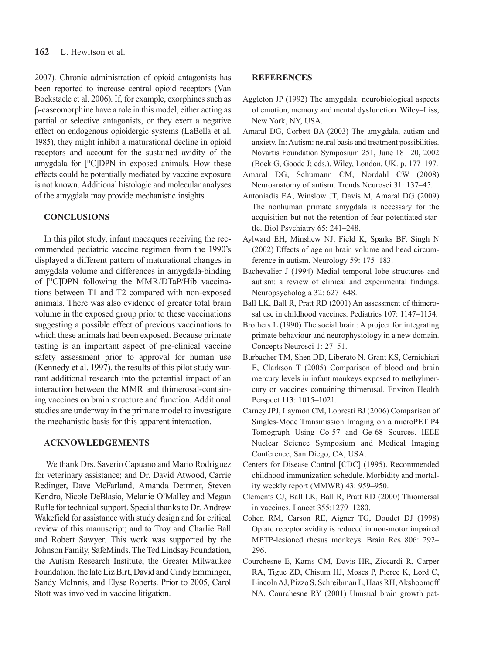2007). Chronic administration of opioid antagonists has been reported to increase central opioid receptors (Van Bockstaele et al. 2006). If, for example, exorphines such as β-caseomorphine have a role in this model, either acting as partial or selective antagonists, or they exert a negative effect on endogenous opioidergic systems (LaBella et al. 1985), they might inhibit a maturational decline in opioid receptors and account for the sustained avidity of the amygdala for  $[$ <sup>11</sup>C $]$ DPN in exposed animals. How these effects could be potentially mediated by vaccine exposure is not known. Additional histologic and molecular analyses of the amygdala may provide mechanistic insights.

# **CONCLUSIONS**

In this pilot study, infant macaques receiving the recommended pediatric vaccine regimen from the 1990's displayed a different pattern of maturational changes in amygdala volume and differences in amygdala-binding of [11C]DPN following the MMR/DTaP/Hib vaccinations between T1 and T2 compared with non-exposed animals. There was also evidence of greater total brain volume in the exposed group prior to these vaccinations suggesting a possible effect of previous vaccinations to which these animals had been exposed. Because primate testing is an important aspect of pre-clinical vaccine safety assessment prior to approval for human use (Kennedy et al. 1997), the results of this pilot study warrant additional research into the potential impact of an interaction between the MMR and thimerosal-containing vaccines on brain structure and function. Additional studies are underway in the primate model to investigate the mechanistic basis for this apparent interaction.

## **ACKNOWLEDGEMENTS**

 We thank Drs. Saverio Capuano and Mario Rodriguez for veterinary assistance; and Dr. David Atwood, Carrie Redinger, Dave McFarland, Amanda Dettmer, Steven Kendro, Nicole DeBlasio, Melanie O'Malley and Megan Rufle for technical support. Special thanks to Dr. Andrew Wakefield for assistance with study design and for critical review of this manuscript; and to Troy and Charlie Ball and Robert Sawyer. This work was supported by the Johnson Family, SafeMinds, The Ted Lindsay Foundation, the Autism Research Institute, the Greater Milwaukee Foundation, the late Liz Birt, David and Cindy Emminger, Sandy McInnis, and Elyse Roberts. Prior to 2005, Carol Stott was involved in vaccine litigation.

#### **References**

- Aggleton JP (1992) The amygdala: neurobiological aspects of emotion, memory and mental dysfunction. Wiley–Liss, New York, NY, USA.
- Amaral DG, Corbett BA (2003) The amygdala, autism and anxiety. In: Autism: neural basis and treatment possibilities. Novartis Foundation Symposium 251, June 18– 20, 2002 (Bock G, Goode J; eds.). Wiley, London, UK. p. 177–197.
- Amaral DG, Schumann CM, Nordahl CW (2008) Neuroanatomy of autism. Trends Neurosci 31: 137–45.
- Antoniadis EA, Winslow JT, Davis M, Amaral DG (2009) The nonhuman primate amygdala is necessary for the acquisition but not the retention of fear-potentiated startle. Biol Psychiatry 65: 241–248.
- Aylward EH, Minshew NJ, Field K, Sparks BF, Singh N (2002) Effects of age on brain volume and head circumference in autism. Neurology 59: 175–183.
- Bachevalier J (1994) Medial temporal lobe structures and autism: a review of clinical and experimental findings. Neuropsychologia 32: 627–648.
- Ball LK, Ball R, Pratt RD (2001) An assessment of thimerosal use in childhood vaccines. Pediatrics 107: 1147–1154.
- Brothers L (1990) The social brain: A project for integrating primate behaviour and neurophysiology in a new domain. Concepts Neurosci 1: 27–51.
- Burbacher TM, Shen DD, Liberato N, Grant KS, Cernichiari E, Clarkson T (2005) Comparison of blood and brain mercury levels in infant monkeys exposed to methylmercury or vaccines containing thimerosal. Environ Health Perspect 113: 1015–1021.
- Carney JPJ, Laymon CM, Lopresti BJ (2006) Comparison of Singles-Mode Transmission Imaging on a microPET P4 Tomograph Using Co-57 and Ge-68 Sources. IEEE Nuclear Science Symposium and Medical Imaging Conference, San Diego, CA, USA.
- Centers for Disease Control [CDC] (1995). Recommended childhood immunization schedule. Morbidity and mortality weekly report (MMWR) 43: 959–950.
- Clements CJ, Ball LK, Ball R, Pratt RD (2000) Thiomersal in vaccines. Lancet 355:1279–1280.
- Cohen RM, Carson RE, Aigner TG, Doudet DJ (1998) Opiate receptor avidity is reduced in non-motor impaired MPTP-lesioned rhesus monkeys. Brain Res 806: 292– 296.
- Courchesne E, Karns CM, Davis HR, Ziccardi R, Carper RA, Tigue ZD, Chisum HJ, Moses P, Pierce K, Lord C, Lincoln AJ, Pizzo S, Schreibman L, Haas RH, Akshoomoff NA, Courchesne RY (2001) Unusual brain growth pat-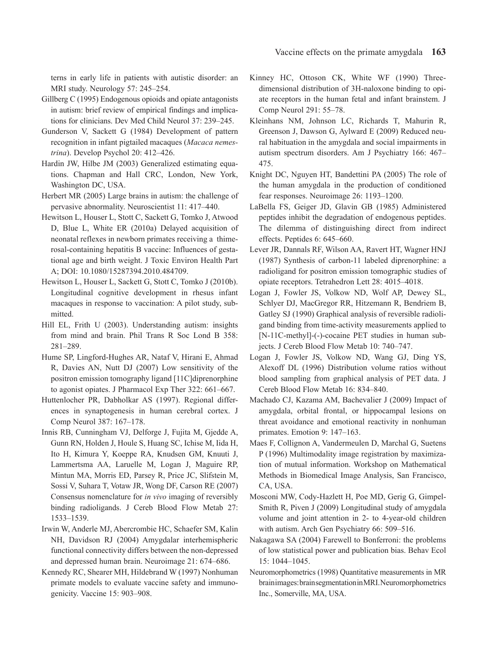terns in early life in patients with autistic disorder: an MRI study. Neurology 57: 245–254.

- Gillberg C (1995) Endogenous opioids and opiate antagonists in autism: brief review of empirical findings and implications for clinicians. Dev Med Child Neurol 37: 239–245.
- Gunderson V, Sackett G (1984) Development of pattern recognition in infant pigtailed macaques (*Macaca nemestrina*). Develop Psychol 20: 412–426.
- Hardin JW, Hilbe JM (2003) Generalized estimating equations. Chapman and Hall CRC, London, New York, Washington DC, USA.
- Herbert MR (2005) Large brains in autism: the challenge of pervasive abnormality. Neuroscientist 11: 417–440.
- Hewitson L, Houser L, Stott C, Sackett G, Tomko J, Atwood D, Blue L, White ER (2010a) Delayed acquisition of neonatal reflexes in newborn primates receiving a thimerosal-containing hepatitis B vaccine: Influences of gestational age and birth weight. J Toxic Environ Health Part A; DOI: 10.1080/15287394.2010.484709.
- Hewitson L, Houser L, Sackett G, Stott C, Tomko J (2010b). Longitudinal cognitive development in rhesus infant macaques in response to vaccination: A pilot study, submitted.
- Hill EL, Frith U (2003). Understanding autism: insights from mind and brain. Phil Trans R Soc Lond B 358: 281–289.
- Hume SP, Lingford-Hughes AR, Nataf V, Hirani E, Ahmad R, Davies AN, Nutt DJ (2007) Low sensitivity of the positron emission tomography ligand [11C]diprenorphine to agonist opiates. J Pharmacol Exp Ther 322: 661–667.
- Huttenlocher PR, Dabholkar AS (1997). Regional differences in synaptogenesis in human cerebral cortex. J Comp Neurol 387: 167–178.
- Innis RB, Cunningham VJ, Delforge J, Fujita M, Gjedde A, Gunn RN, Holden J, Houle S, Huang SC, Ichise M, Iida H, Ito H, Kimura Y, Koeppe RA, Knudsen GM, Knuuti J, Lammertsma AA, Laruelle M, Logan J, Maguire RP, Mintun MA, Morris ED, Parsey R, Price JC, Slifstein M, Sossi V, Suhara T, Votaw JR, Wong DF, Carson RE (2007) Consensus nomenclature for *in vivo* imaging of reversibly binding radioligands. J Cereb Blood Flow Metab 27: 1533–1539.
- Irwin W, Anderle MJ, Abercrombie HC, Schaefer SM, Kalin NH, Davidson RJ (2004) Amygdalar interhemispheric functional connectivity differs between the non-depressed and depressed human brain. Neuroimage 21: 674–686.
- Kennedy RC, Shearer MH, Hildebrand W (1997) Nonhuman primate models to evaluate vaccine safety and immunogenicity. Vaccine 15: 903–908.
- Kinney HC, Ottoson CK, White WF (1990) Threedimensional distribution of 3H-naloxone binding to opiate receptors in the human fetal and infant brainstem. J Comp Neurol 291: 55–78.
- Kleinhans NM, Johnson LC, Richards T, Mahurin R, Greenson J, Dawson G, Aylward E (2009) Reduced neural habituation in the amygdala and social impairments in autism spectrum disorders. Am J Psychiatry 166: 467– 475.
- Knight DC, Nguyen HT, Bandettini PA (2005) The role of the human amygdala in the production of conditioned fear responses. Neuroimage 26: 1193–1200.
- LaBella FS, Geiger JD, Glavin GB (1985) Administered peptides inhibit the degradation of endogenous peptides. The dilemma of distinguishing direct from indirect effects. Peptides 6: 645–660.
- Lever JR, Dannals RF, Wilson AA, Ravert HT, Wagner HNJ (1987) Synthesis of carbon-11 labeled diprenorphine: a radioligand for positron emission tomographic studies of opiate receptors. Tetrahedron Lett 28: 4015–4018.
- Logan J, Fowler JS, Volkow ND, Wolf AP, Dewey SL, Schlyer DJ, MacGregor RR, Hitzemann R, Bendriem B, Gatley SJ (1990) Graphical analysis of reversible radioligand binding from time-activity measurements applied to [N-11C-methyl]-(-)-cocaine PET studies in human subjects. J Cereb Blood Flow Metab 10: 740–747.
- Logan J, Fowler JS, Volkow ND, Wang GJ, Ding YS, Alexoff DL (1996) Distribution volume ratios without blood sampling from graphical analysis of PET data. J Cereb Blood Flow Metab 16: 834–840.
- Machado CJ, Kazama AM, Bachevalier J (2009) Impact of amygdala, orbital frontal, or hippocampal lesions on threat avoidance and emotional reactivity in nonhuman primates. Emotion 9: 147–163.
- Maes F, Collignon A, Vandermeulen D, Marchal G, Suetens P (1996) Multimodality image registration by maximization of mutual information. Workshop on Mathematical Methods in Biomedical Image Analysis, San Francisco, CA, USA.
- Mosconi MW, Cody-Hazlett H, Poe MD, Gerig G, Gimpel-Smith R, Piven J (2009) Longitudinal study of amygdala volume and joint attention in 2- to 4-year-old children with autism. Arch Gen Psychiatry 66: 509–516.
- Nakagawa SA (2004) Farewell to Bonferroni: the problems of low statistical power and publication bias. Behav Ecol 15: 1044–1045.
- Neuromorphometrics (1998) Quantitative measurements in MR brain images: brain segmentation in MRI. Neuromorphometrics Inc., Somerville, MA, USA.